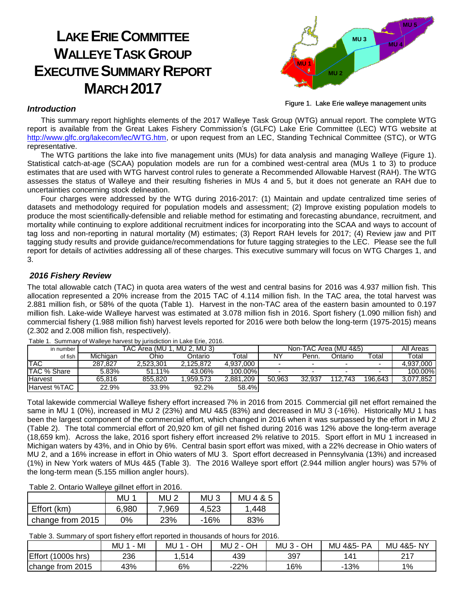# **LAKE ERIE COMMITTEE WALLEYE TASK GROUP EXECUTIVE SUMMARY REPORT MARCH 2017**



Figure 1. Lake Erie walleye management units

#### *Introduction*

This summary report highlights elements of the 2017 Walleye Task Group (WTG) annual report. The complete WTG report is available from the Great Lakes Fishery Commission's (GLFC) Lake Erie Committee (LEC) WTG website at [http://www.glfc.org/lakecom/lec/WTG.htm,](http://www.glfc.org/lakecom/lec/WTG.htm) or upon request from an LEC, Standing Technical Committee (STC), or WTG representative.

The WTG partitions the lake into five management units (MUs) for data analysis and managing Walleye (Figure 1). Statistical catch-at-age (SCAA) population models are run for a combined west-central area (MUs 1 to 3) to produce estimates that are used with WTG harvest control rules to generate a Recommended Allowable Harvest (RAH). The WTG assesses the status of Walleye and their resulting fisheries in MUs 4 and 5, but it does not generate an RAH due to uncertainties concerning stock delineation.

Four charges were addressed by the WTG during 2016-2017: (1) Maintain and update centralized time series of datasets and methodology required for population models and assessment; (2) Improve existing population models to produce the most scientifically-defensible and reliable method for estimating and forecasting abundance, recruitment, and mortality while continuing to explore additional recruitment indices for incorporating into the SCAA and ways to account of tag loss and non-reporting in natural mortality (M) estimates; (3) Report RAH levels for 2017; (4) Review jaw and PIT tagging study results and provide guidance/recommendations for future tagging strategies to the LEC. Please see the full report for details of activities addressing all of these charges. This executive summary will focus on WTG Charges 1, and 3.

#### *2016 Fishery Review*

The total allowable catch (TAC) in quota area waters of the west and central basins for 2016 was 4.937 million fish. This allocation represented a 20% increase from the 2015 TAC of 4.114 million fish. In the TAC area, the total harvest was 2.881 million fish, or 58% of the quota (Table 1). Harvest in the non-TAC area of the eastern basin amounted to 0.197 million fish. Lake-wide Walleye harvest was estimated at 3.078 million fish in 2016. Sport fishery (1.090 million fish) and commercial fishery (1.988 million fish) harvest levels reported for 2016 were both below the long-term (1975-2015) means (2.302 and 2.008 million fish, respectively).

| in number      |          | TAC Area (MU | MU 2. MU 3)    |           |        |        | Non-TAC Area (MU 4&5) |         | All Areas |
|----------------|----------|--------------|----------------|-----------|--------|--------|-----------------------|---------|-----------|
| of fish        | Michigan | Ohio         | <b>Ontario</b> | Total     | NY     | Penn.  | Ontario               | Total   | Total     |
| <b>TAC</b>     | 287.827  | 2.523.301    | 2.125.872      | 4.937.000 | -      |        |                       | -       | 4,937,000 |
| TAC % Share    | 5.83%    | 51.11%       | 43.06%         | 100.00%   | -      |        | -                     | -       | 100.00%   |
| <b>Harvest</b> | 65.816   | 855.820      | .959.573       | 2.881.209 | 50.963 | 32.937 | 112.743               | 196.643 | 3,077,852 |
| Harvest %TAC   | 22.9%    | 33.9%        | 92.2%          | 58.4%     |        |        |                       |         |           |

Table 1. Summary of Walleye harvest by jurisdiction in Lake Erie, 2016.

Total lakewide commercial Walleye fishery effort increased 7% in 2016 from 2015. Commercial gill net effort remained the same in MU 1 (0%), increased in MU 2 (23%) and MU 4&5 (83%) and decreased in MU 3 (-16%). Historically MU 1 has been the largest component of the commercial effort, which changed in 2016 when it was surpassed by the effort in MU 2 (Table 2). The total commercial effort of 20,920 km of gill net fished during 2016 was 12% above the long-term average (18,659 km). Across the lake, 2016 sport fishery effort increased 2% relative to 2015. Sport effort in MU 1 increased in Michigan waters by 43%, and in Ohio by 6%. Central basin sport effort was mixed, with a 22% decrease in Ohio waters of MU 2, and a 16% increase in effort in Ohio waters of MU 3. Sport effort decreased in Pennsylvania (13%) and increased (1%) in New York waters of MUs 4&5 (Table 3). The 2016 Walleye sport effort (2.944 million angler hours) was 57% of the long-term mean (5.155 million angler hours).

Table 2. Ontario Walleye gillnet effort in 2016.

|                  | MU    | MU <sub>2</sub> | MU <sub>3</sub> | MU 4 & 5 |  |
|------------------|-------|-----------------|-----------------|----------|--|
| Effort (km)      | 6.980 | 7,969           | 4,523           | 1,448    |  |
| change from 2015 | 0%    | 23%             | -16%            | 83%      |  |

Table 3. Summary of sport fishery effort reported in thousands of hours for 2016.

|                         | MI<br>MU <sup>1</sup> | OH<br>MU 1<br>$\sim$ 1 | OH<br>MU 2 - 0 | $MU3 -$<br>OН | MU<br><b>PA</b><br>4&5- | 4&5-NY<br>MU    |
|-------------------------|-----------------------|------------------------|----------------|---------------|-------------------------|-----------------|
| Effort<br>$(1000s$ hrs) | 236                   | .514                   | 439            | 397           | 141                     | つイフ<br><u>.</u> |
| change from 2015        | 43%                   | 6%                     | $-22%$         | 16%           | 13%                     | 1%              |